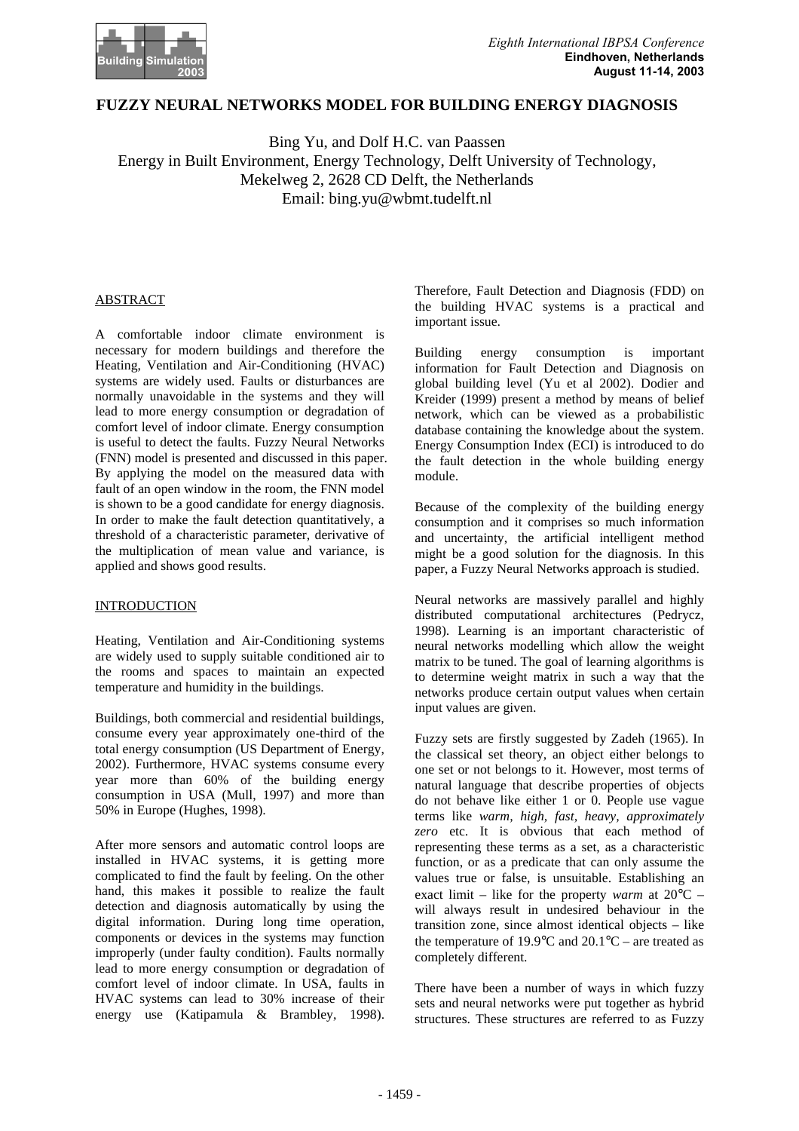

# **FUZZY NEURAL NETWORKS MODEL FOR BUILDING ENERGY DIAGNOSIS**

Bing Yu, and Dolf H.C. van Paassen Energy in Built Environment, Energy Technology, Delft University of Technology, Mekelweg 2, 2628 CD Delft, the Netherlands Email: bing.yu@wbmt.tudelft.nl

#### ABSTRACT

A comfortable indoor climate environment is necessary for modern buildings and therefore the Heating, Ventilation and Air-Conditioning (HVAC) systems are widely used. Faults or disturbances are normally unavoidable in the systems and they will lead to more energy consumption or degradation of comfort level of indoor climate. Energy consumption is useful to detect the faults. Fuzzy Neural Networks (FNN) model is presented and discussed in this paper. By applying the model on the measured data with fault of an open window in the room, the FNN model is shown to be a good candidate for energy diagnosis. In order to make the fault detection quantitatively, a threshold of a characteristic parameter, derivative of the multiplication of mean value and variance, is applied and shows good results.

#### INTRODUCTION

Heating, Ventilation and Air-Conditioning systems are widely used to supply suitable conditioned air to the rooms and spaces to maintain an expected temperature and humidity in the buildings.

Buildings, both commercial and residential buildings, consume every year approximately one-third of the total energy consumption (US Department of Energy, 2002). Furthermore, HVAC systems consume every year more than 60% of the building energy consumption in USA (Mull, 1997) and more than 50% in Europe (Hughes, 1998).

After more sensors and automatic control loops are installed in HVAC systems, it is getting more complicated to find the fault by feeling. On the other hand, this makes it possible to realize the fault detection and diagnosis automatically by using the digital information. During long time operation, components or devices in the systems may function improperly (under faulty condition). Faults normally lead to more energy consumption or degradation of comfort level of indoor climate. In USA, faults in HVAC systems can lead to 30% increase of their energy use (Katipamula & Brambley, 1998). Therefore, Fault Detection and Diagnosis (FDD) on the building HVAC systems is a practical and important issue.

Building energy consumption is important information for Fault Detection and Diagnosis on global building level (Yu et al 2002). Dodier and Kreider (1999) present a method by means of belief network, which can be viewed as a probabilistic database containing the knowledge about the system. Energy Consumption Index (ECI) is introduced to do the fault detection in the whole building energy module.

Because of the complexity of the building energy consumption and it comprises so much information and uncertainty, the artificial intelligent method might be a good solution for the diagnosis. In this paper, a Fuzzy Neural Networks approach is studied.

Neural networks are massively parallel and highly distributed computational architectures (Pedrycz, 1998). Learning is an important characteristic of neural networks modelling which allow the weight matrix to be tuned. The goal of learning algorithms is to determine weight matrix in such a way that the networks produce certain output values when certain input values are given.

Fuzzy sets are firstly suggested by Zadeh (1965). In the classical set theory, an object either belongs to one set or not belongs to it. However, most terms of natural language that describe properties of objects do not behave like either 1 or 0. People use vague terms like *warm, high, fast, heavy, approximately zero* etc. It is obvious that each method of representing these terms as a set, as a characteristic function, or as a predicate that can only assume the values true or false, is unsuitable. Establishing an exact limit – like for the property *warm* at 20°C – will always result in undesired behaviour in the transition zone, since almost identical objects – like the temperature of 19.9 $\degree$ C and 20.1 $\degree$ C – are treated as completely different.

There have been a number of ways in which fuzzy sets and neural networks were put together as hybrid structures. These structures are referred to as Fuzzy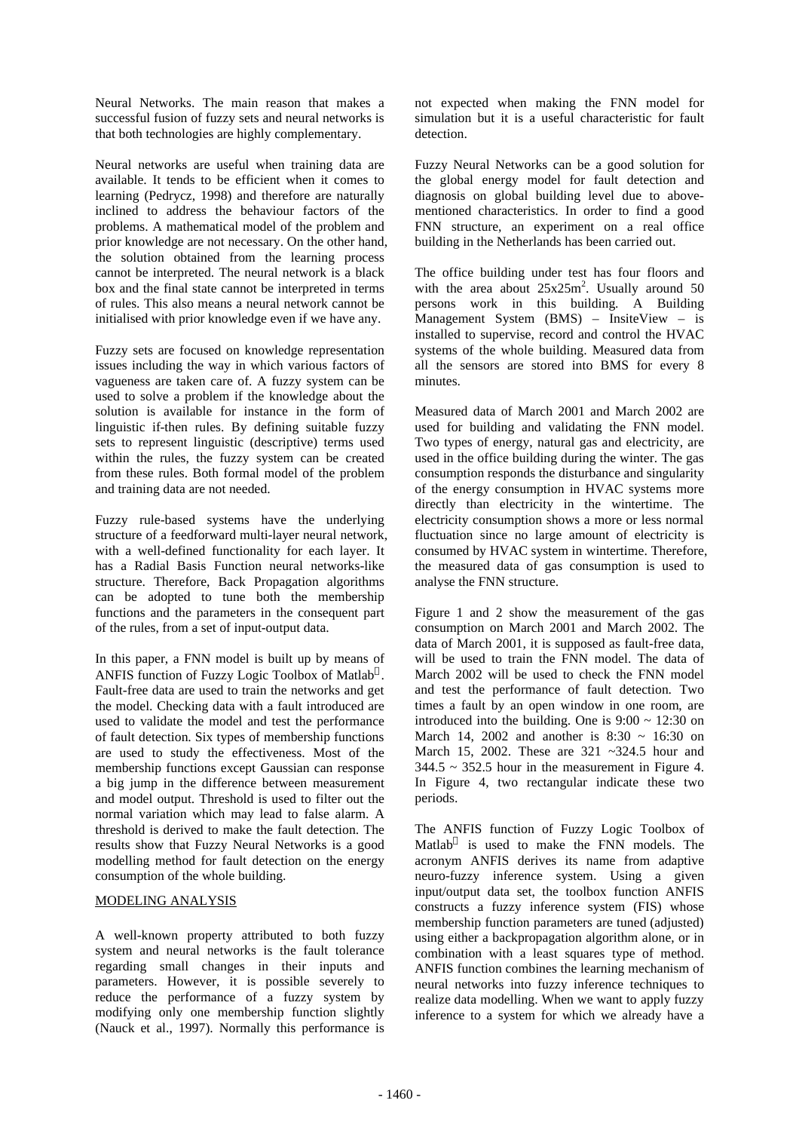Neural Networks. The main reason that makes a successful fusion of fuzzy sets and neural networks is that both technologies are highly complementary.

Neural networks are useful when training data are available. It tends to be efficient when it comes to learning (Pedrycz, 1998) and therefore are naturally inclined to address the behaviour factors of the problems. A mathematical model of the problem and prior knowledge are not necessary. On the other hand, the solution obtained from the learning process cannot be interpreted. The neural network is a black box and the final state cannot be interpreted in terms of rules. This also means a neural network cannot be initialised with prior knowledge even if we have any.

Fuzzy sets are focused on knowledge representation issues including the way in which various factors of vagueness are taken care of. A fuzzy system can be used to solve a problem if the knowledge about the solution is available for instance in the form of linguistic if-then rules. By defining suitable fuzzy sets to represent linguistic (descriptive) terms used within the rules, the fuzzy system can be created from these rules. Both formal model of the problem and training data are not needed.

Fuzzy rule-based systems have the underlying structure of a feedforward multi-layer neural network, with a well-defined functionality for each layer. It has a Radial Basis Function neural networks-like structure. Therefore, Back Propagation algorithms can be adopted to tune both the membership functions and the parameters in the consequent part of the rules, from a set of input-output data.

In this paper, a FNN model is built up by means of ANFIS function of Fuzzy Logic Toolbox of Matlab®. Fault-free data are used to train the networks and get the model. Checking data with a fault introduced are used to validate the model and test the performance of fault detection. Six types of membership functions are used to study the effectiveness. Most of the membership functions except Gaussian can response a big jump in the difference between measurement and model output. Threshold is used to filter out the normal variation which may lead to false alarm. A threshold is derived to make the fault detection. The results show that Fuzzy Neural Networks is a good modelling method for fault detection on the energy consumption of the whole building.

## MODELING ANALYSIS

A well-known property attributed to both fuzzy system and neural networks is the fault tolerance regarding small changes in their inputs and parameters. However, it is possible severely to reduce the performance of a fuzzy system by modifying only one membership function slightly (Nauck et al., 1997). Normally this performance is

not expected when making the FNN model for simulation but it is a useful characteristic for fault detection.

Fuzzy Neural Networks can be a good solution for the global energy model for fault detection and diagnosis on global building level due to abovementioned characteristics. In order to find a good FNN structure, an experiment on a real office building in the Netherlands has been carried out.

The office building under test has four floors and with the area about  $25x25m^2$ . Usually around 50 persons work in this building. A Building Management System (BMS) – InsiteView – is installed to supervise, record and control the HVAC systems of the whole building. Measured data from all the sensors are stored into BMS for every 8 minutes.

Measured data of March 2001 and March 2002 are used for building and validating the FNN model. Two types of energy, natural gas and electricity, are used in the office building during the winter. The gas consumption responds the disturbance and singularity of the energy consumption in HVAC systems more directly than electricity in the wintertime. The electricity consumption shows a more or less normal fluctuation since no large amount of electricity is consumed by HVAC system in wintertime. Therefore, the measured data of gas consumption is used to analyse the FNN structure.

Figure 1 and 2 show the measurement of the gas consumption on March 2001 and March 2002. The data of March 2001, it is supposed as fault-free data, will be used to train the FNN model. The data of March 2002 will be used to check the FNN model and test the performance of fault detection. Two times a fault by an open window in one room, are introduced into the building. One is  $9:00 \sim 12:30$  on March 14, 2002 and another is  $8:30 \sim 16:30$  on March 15, 2002. These are 321 ~324.5 hour and  $344.5 \sim 352.5$  hour in the measurement in Figure 4. In Figure 4, two rectangular indicate these two periods.

The ANFIS function of Fuzzy Logic Toolbox of Matlab $^{\circ}$  is used to make the FNN models. The acronym ANFIS derives its name from adaptive neuro-fuzzy inference system. Using a given input/output data set, the toolbox function ANFIS constructs a fuzzy inference system (FIS) whose membership function parameters are tuned (adjusted) using either a backpropagation algorithm alone, or in combination with a least squares type of method. ANFIS function combines the learning mechanism of neural networks into fuzzy inference techniques to realize data modelling. When we want to apply fuzzy inference to a system for which we already have a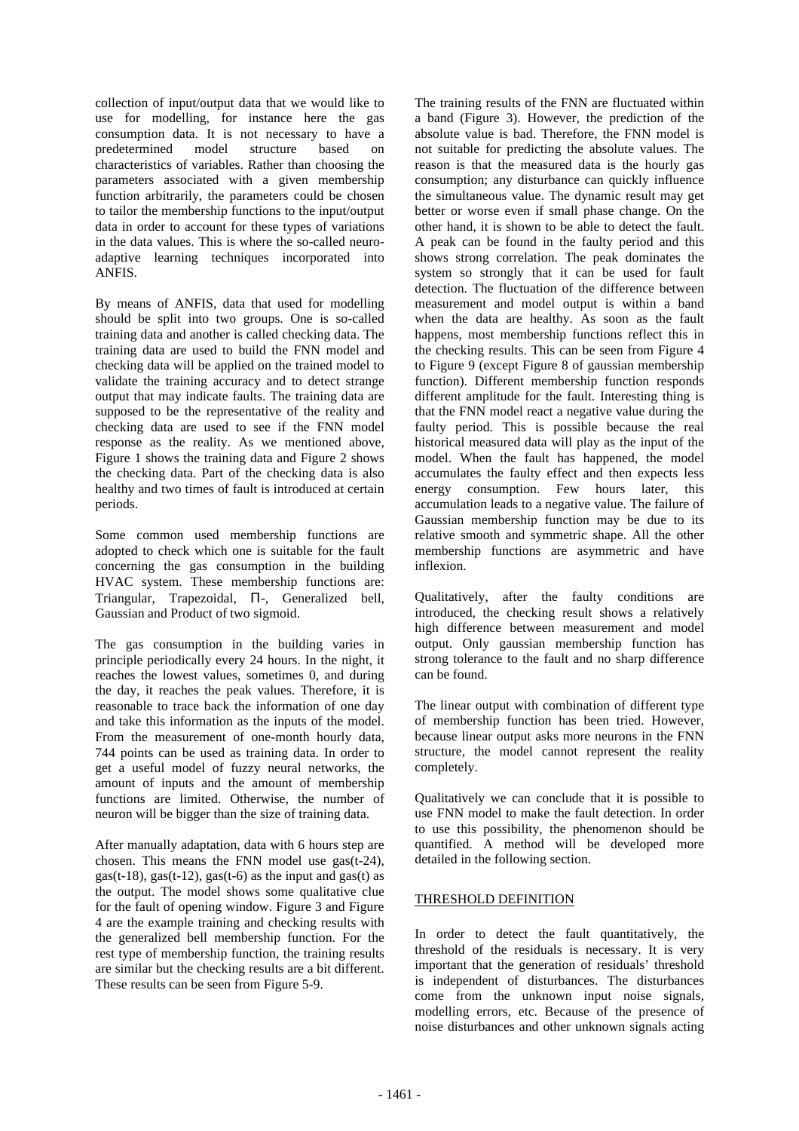collection of input/output data that we would like to use for modelling, for instance here the gas consumption data. It is not necessary to have a predetermined model structure based on characteristics of variables. Rather than choosing the parameters associated with a given membership function arbitrarily, the parameters could be chosen to tailor the membership functions to the input/output data in order to account for these types of variations in the data values. This is where the so-called neuroadaptive learning techniques incorporated into ANFIS.

By means of ANFIS, data that used for modelling should be split into two groups. One is so-called training data and another is called checking data. The training data are used to build the FNN model and checking data will be applied on the trained model to validate the training accuracy and to detect strange output that may indicate faults. The training data are supposed to be the representative of the reality and checking data are used to see if the FNN model response as the reality. As we mentioned above, Figure 1 shows the training data and Figure 2 shows the checking data. Part of the checking data is also healthy and two times of fault is introduced at certain periods.

Some common used membership functions are adopted to check which one is suitable for the fault concerning the gas consumption in the building HVAC system. These membership functions are: Triangular, Trapezoidal, Π-, Generalized bell, Gaussian and Product of two sigmoid.

The gas consumption in the building varies in principle periodically every 24 hours. In the night, it reaches the lowest values, sometimes 0, and during the day, it reaches the peak values. Therefore, it is reasonable to trace back the information of one day and take this information as the inputs of the model. From the measurement of one-month hourly data, 744 points can be used as training data. In order to get a useful model of fuzzy neural networks, the amount of inputs and the amount of membership functions are limited. Otherwise, the number of neuron will be bigger than the size of training data.

After manually adaptation, data with 6 hours step are chosen. This means the FNN model use gas(t-24), gas(t-18), gas(t-12), gas(t-6) as the input and gas(t) as the output. The model shows some qualitative clue for the fault of opening window. Figure 3 and Figure 4 are the example training and checking results with the generalized bell membership function. For the rest type of membership function, the training results are similar but the checking results are a bit different. These results can be seen from Figure 5-9.

The training results of the FNN are fluctuated within a band (Figure 3). However, the prediction of the absolute value is bad. Therefore, the FNN model is not suitable for predicting the absolute values. The reason is that the measured data is the hourly gas consumption; any disturbance can quickly influence the simultaneous value. The dynamic result may get better or worse even if small phase change. On the other hand, it is shown to be able to detect the fault. A peak can be found in the faulty period and this shows strong correlation. The peak dominates the system so strongly that it can be used for fault detection. The fluctuation of the difference between measurement and model output is within a band when the data are healthy. As soon as the fault happens, most membership functions reflect this in the checking results. This can be seen from Figure 4 to Figure 9 (except Figure 8 of gaussian membership function). Different membership function responds different amplitude for the fault. Interesting thing is that the FNN model react a negative value during the faulty period. This is possible because the real historical measured data will play as the input of the model. When the fault has happened, the model accumulates the faulty effect and then expects less energy consumption. Few hours later, this accumulation leads to a negative value. The failure of Gaussian membership function may be due to its relative smooth and symmetric shape. All the other membership functions are asymmetric and have inflexion.

Qualitatively, after the faulty conditions are introduced, the checking result shows a relatively high difference between measurement and model output. Only gaussian membership function has strong tolerance to the fault and no sharp difference can be found.

The linear output with combination of different type of membership function has been tried. However, because linear output asks more neurons in the FNN structure, the model cannot represent the reality completely.

Qualitatively we can conclude that it is possible to use FNN model to make the fault detection. In order to use this possibility, the phenomenon should be quantified. A method will be developed more detailed in the following section.

## THRESHOLD DEFINITION

In order to detect the fault quantitatively, the threshold of the residuals is necessary. It is very important that the generation of residuals' threshold is independent of disturbances. The disturbances come from the unknown input noise signals, modelling errors, etc. Because of the presence of noise disturbances and other unknown signals acting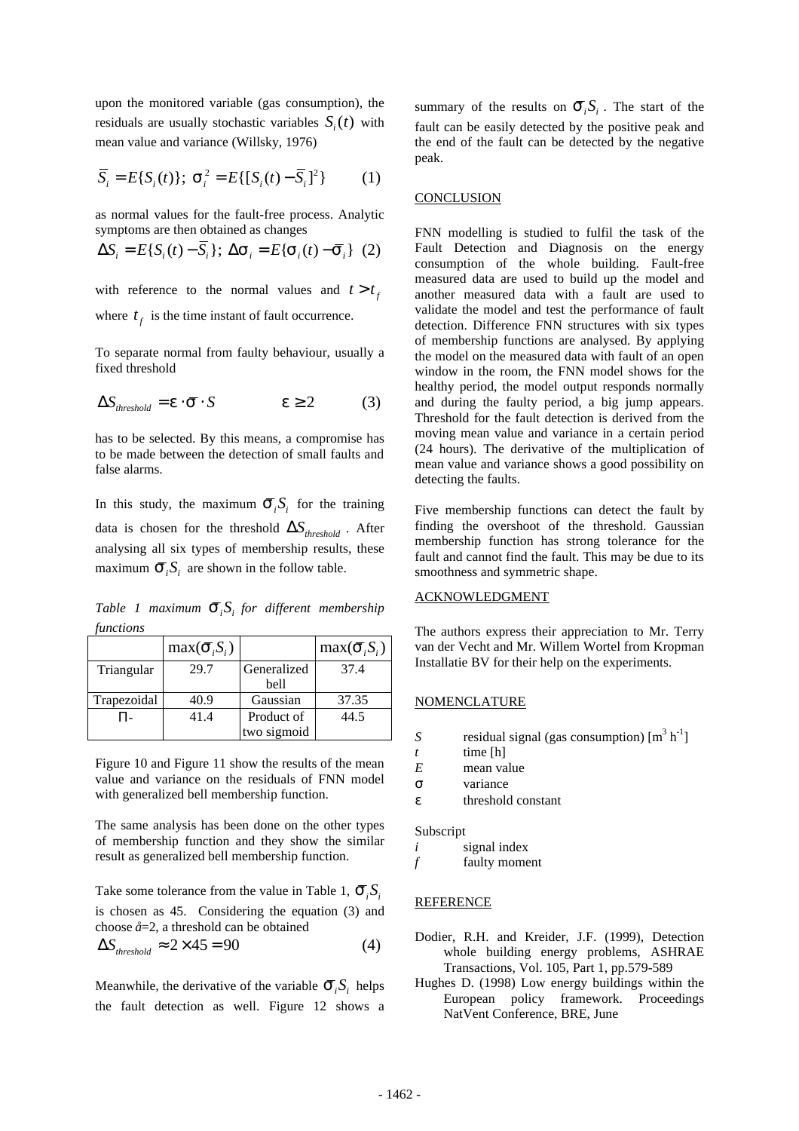upon the monitored variable (gas consumption), the residuals are usually stochastic variables  $S_i(t)$  with mean value and variance (Willsky, 1976)

$$
\overline{S}_i = E\{S_i(t)\}; \ \mathbf{s}_i^2 = E\{[S_i(t) - \overline{S}_i]^2\} \tag{1}
$$

as normal values for the fault-free process. Analytic symptoms are then obtained as changes

$$
\Delta S_i = E\{S_i(t) - \overline{S}_i\}; \ \Delta \mathbf{s}_i = E\{\mathbf{s}_i(t) - \overline{\mathbf{s}}_i\} \tag{2}
$$

with reference to the normal values and  $t > t_f$ 

where  $t_f$  is the time instant of fault occurrence.

To separate normal from faulty behaviour, usually a fixed threshold

$$
\Delta S_{threshold} = \mathbf{e} \cdot \bar{\mathbf{s}} \cdot S \qquad \qquad \mathbf{e} \ge 2 \qquad (3)
$$

has to be selected. By this means, a compromise has to be made between the detection of small faults and false alarms.

In this study, the maximum  $\bar{S}_i S_i$  for the training data is chosen for the threshold  $\Delta S$ <sub>threshold</sub>. After analysing all six types of membership results, these maximum  $\overline{S}_i S_i$  are shown in the follow table.

*Table 1 maximum*  $\bar{S}_i S_i$  *for different membership functions*

|             | $max(\bar{S}_i, S_i)$ |             | $max(\bar{S}_i, S_i)$ |
|-------------|-----------------------|-------------|-----------------------|
| Triangular  | 29.7                  | Generalized | 37.4                  |
|             |                       | bell        |                       |
| Trapezoidal | 40.9                  | Gaussian    | 37.35                 |
|             | 41.4                  | Product of  | 44.5                  |
|             |                       | two sigmoid |                       |

Figure 10 and Figure 11 show the results of the mean value and variance on the residuals of FNN model with generalized bell membership function.

The same analysis has been done on the other types of membership function and they show the similar result as generalized bell membership function.

Take some tolerance from the value in Table 1,  $\overline{S}_i S_i$ is chosen as 45. Considering the equation (3) and choose *å*=2, a threshold can be obtained

$$
\Delta S_{threshold} \approx 2 \times 45 = 90 \tag{4}
$$

Meanwhile, the derivative of the variable  $\vec{S}_i S_i$  helps the fault detection as well. Figure 12 shows a

summary of the results on  $\overline{S}_{i}S_{i}$ . The start of the fault can be easily detected by the positive peak and the end of the fault can be detected by the negative peak.

## **CONCLUSION**

FNN modelling is studied to fulfil the task of the Fault Detection and Diagnosis on the energy consumption of the whole building. Fault-free measured data are used to build up the model and another measured data with a fault are used to validate the model and test the performance of fault detection. Difference FNN structures with six types of membership functions are analysed. By applying the model on the measured data with fault of an open window in the room, the FNN model shows for the healthy period, the model output responds normally and during the faulty period, a big jump appears. Threshold for the fault detection is derived from the moving mean value and variance in a certain period (24 hours). The derivative of the multiplication of mean value and variance shows a good possibility on detecting the faults.

Five membership functions can detect the fault by finding the overshoot of the threshold. Gaussian membership function has strong tolerance for the fault and cannot find the fault. This may be due to its smoothness and symmetric shape.

## ACKNOWLEDGMENT

The authors express their appreciation to Mr. Terry van der Vecht and Mr. Willem Wortel from Kropman Installatie BV for their help on the experiments.

#### NOMENCLATURE

- *S* residual signal (gas consumption)  $[m^3 h^{-1}]$
- $t$  time  $[h]$
- *E* mean value
- *s* variance
- *e* threshold constant

Subscript

- *i* signal index
- *f* faulty moment

#### **REFERENCE**

- Dodier, R.H. and Kreider, J.F. (1999), Detection whole building energy problems, ASHRAE Transactions, Vol. 105, Part 1, pp.579-589
- Hughes D. (1998) Low energy buildings within the European policy framework. Proceedings NatVent Conference, BRE, June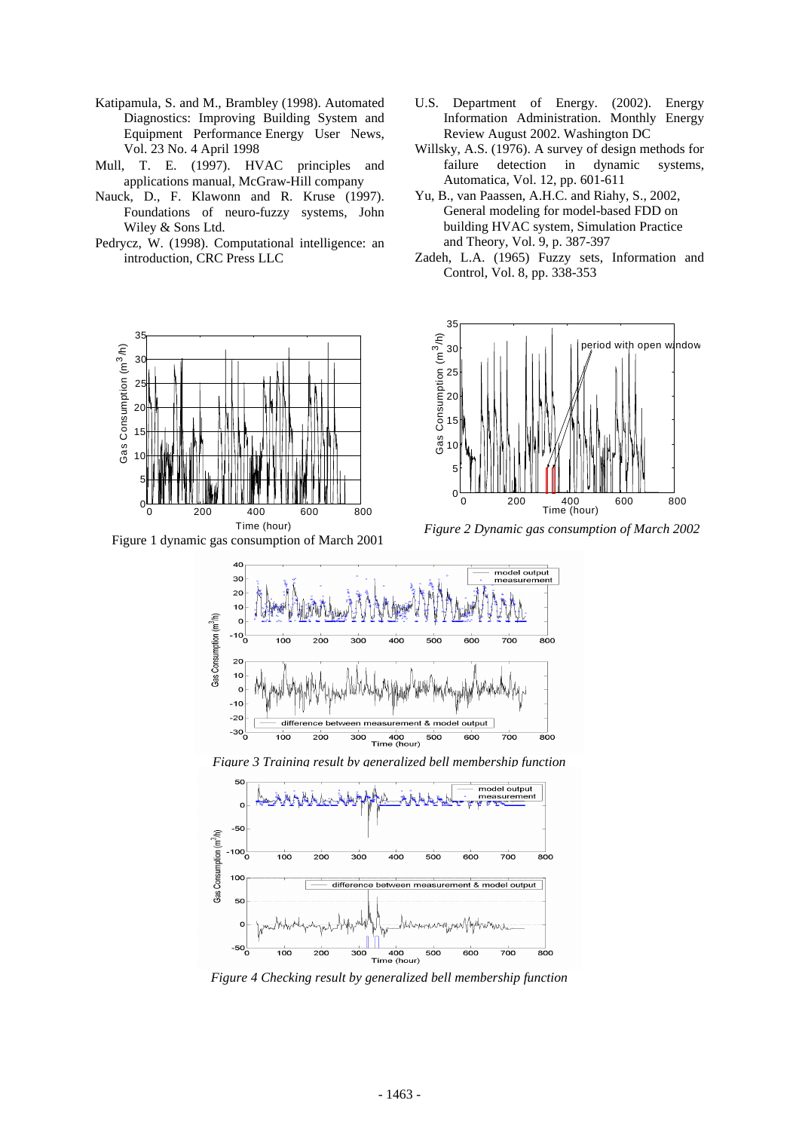- Katipamula, S. and M., Brambley (1998). Automated Diagnostics: Improving Building System and Equipment Performance Energy User News, Vol. 23 No. 4 April 1998
- Mull, T. E. (1997). HVAC principles and applications manual, McGraw-Hill company
- Nauck, D., F. Klawonn and R. Kruse (1997). Foundations of neuro-fuzzy systems, John Wiley & Sons Ltd.
- Pedrycz, W. (1998). Computational intelligence: an introduction, CRC Press LLC



Figure 1 dynamic gas consumption of March 2001

- U.S. Department of Energy. (2002). Energy Information Administration. Monthly Energy Review August 2002. Washington DC
- Willsky, A.S. (1976). A survey of design methods for failure detection in dynamic systems, Automatica, Vol. 12, pp. 601-611
- Yu, B., van Paassen, A.H.C. and Riahy, S., 2002, General modeling for model-based FDD on building HVAC system, Simulation Practice and Theory, Vol. 9, p. 387-397
- Zadeh, L.A. (1965) Fuzzy sets, Information and Control, Vol. 8, pp. 338-353



*Figure 2 Dynamic gas consumption of March 2002*



*Figure 3 Training result by generalized bell membership function* 



*Figure 4 Checking result by generalized bell membership function*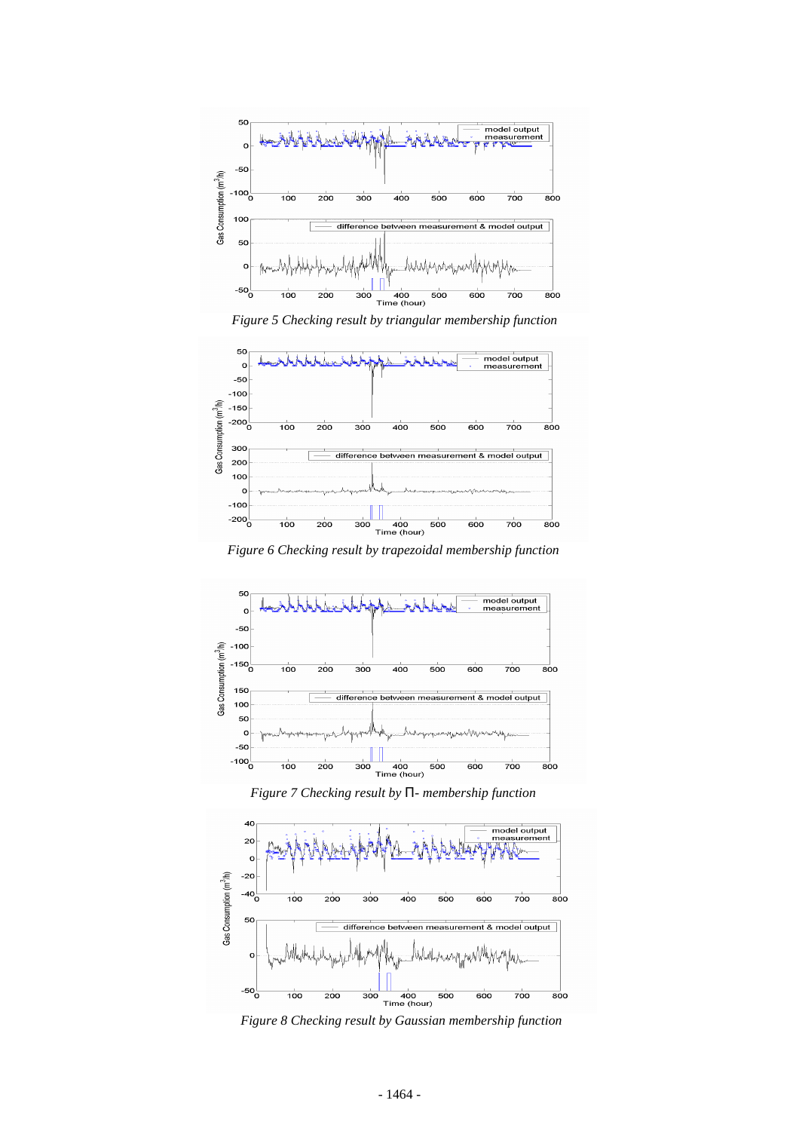

*Figure 5 Checking result by triangular membership function* 



*Figure 6 Checking result by trapezoidal membership function* 



*Figure 7 Checking result by P- membership function* 



*Figure 8 Checking result by Gaussian membership function*